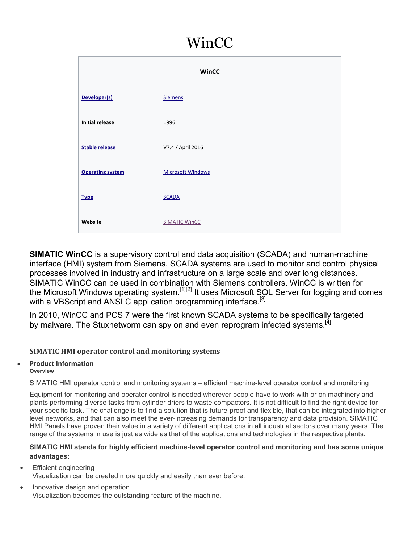# WinCC

|                         | <b>WinCC</b>             |  |
|-------------------------|--------------------------|--|
| Developer(s)            | <b>Siemens</b>           |  |
| <b>Initial release</b>  | 1996                     |  |
| <b>Stable release</b>   | V7.4 / April 2016        |  |
| <b>Operating system</b> | <b>Microsoft Windows</b> |  |
| <b>Type</b>             | <b>SCADA</b>             |  |
| Website                 | <b>SIMATIC WinCC</b>     |  |

**SIMATIC WinCC** is a supervisory control and data acquisition (SCADA) and human-machine interface (HMI) system from Siemens. SCADA systems are used to monitor and control physical processes involved in industry and infrastructure on a large scale and over long distances. SIMATIC WinCC can be used in combination with Siemens controllers. WinCC is written for the Microsoft Windows operating system.<sup>[1][2]</sup> It uses Microsoft SQL Server for logging and comes with a VBScript and ANSI C application programming interface.<sup>[3]</sup>

In 2010, WinCC and PCS 7 were the first known SCADA systems to be specifically targeted by malware. The Stuxnetworm can spy on and even reprogram infected systems.<sup>[4]</sup>

## **SIMATIC HMI operator control and monitoring systems**

## **Product Information**

#### **Overview**

SIMATIC HMI operator control and monitoring systems – efficient machine-level operator control and monitoring

Equipment for monitoring and operator control is needed wherever people have to work with or on machinery and plants performing diverse tasks from cylinder driers to waste compactors. It is not difficult to find the right device for your specific task. The challenge is to find a solution that is future-proof and flexible, that can be integrated into higherlevel networks, and that can also meet the ever-increasing demands for transparency and data provision. SIMATIC HMI Panels have proven their value in a variety of different applications in all industrial sectors over many years. The range of the systems in use is just as wide as that of the applications and technologies in the respective plants.

#### **SIMATIC HMI stands for highly efficient machine-level operator control and monitoring and has some unique advantages:**

- Efficient engineering Visualization can be created more quickly and easily than ever before.
- Innovative design and operation Visualization becomes the outstanding feature of the machine.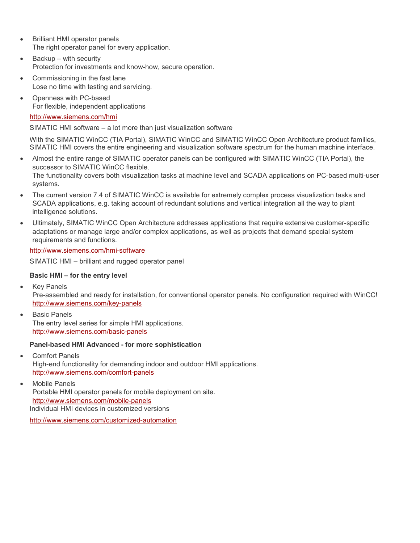- Brilliant HMI operator panels The right operator panel for every application.
- Backup with security Protection for investments and know-how, secure operation.
- Commissioning in the fast lane Lose no time with testing and servicing.
- Openness with PC-based For flexible, independent applications

#### http://www.siemens.com/hmi

SIMATIC HMI software – a lot more than just visualization software

With the SIMATIC WinCC (TIA Portal), SIMATIC WinCC and SIMATIC WinCC Open Architecture product families, SIMATIC HMI covers the entire engineering and visualization software spectrum for the human machine interface.

- Almost the entire range of SIMATIC operator panels can be configured with SIMATIC WinCC (TIA Portal), the successor to SIMATIC WinCC flexible. The functionality covers both visualization tasks at machine level and SCADA applications on PC-based multi-user systems.
- The current version 7.4 of SIMATIC WinCC is available for extremely complex process visualization tasks and SCADA applications, e.g. taking account of redundant solutions and vertical integration all the way to plant intelligence solutions.
- Ultimately, SIMATIC WinCC Open Architecture addresses applications that require extensive customer-specific adaptations or manage large and/or complex applications, as well as projects that demand special system requirements and functions.

#### http://www.siemens.com/hmi-software

SIMATIC HMI – brilliant and rugged operator panel

### **Basic HMI – for the entry level**

• Key Panels

Pre-assembled and ready for installation, for conventional operator panels. No configuration required with WinCC! http://www.siemens.com/key-panels

 Basic Panels The entry level series for simple HMI applications. http://www.siemens.com/basic-panels

#### **Panel-based HMI Advanced - for more sophistication**

- Comfort Panels High-end functionality for demanding indoor and outdoor HMI applications. http://www.siemens.com/comfort-panels
- Mobile Panels Portable HMI operator panels for mobile deployment on site. http://www.siemens.com/mobile-panels Individual HMI devices in customized versions

http://www.siemens.com/customized-automation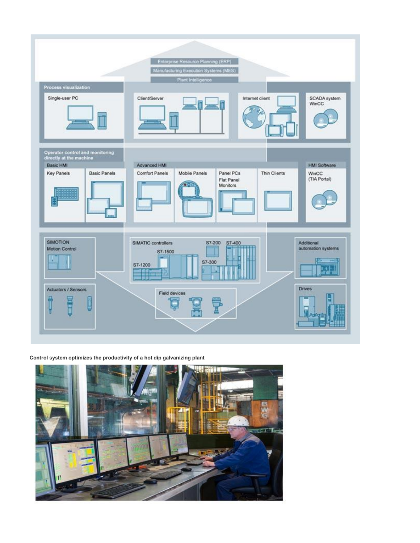

#### **Control system optimizes the productivity of a hot dip galvanizing plant**

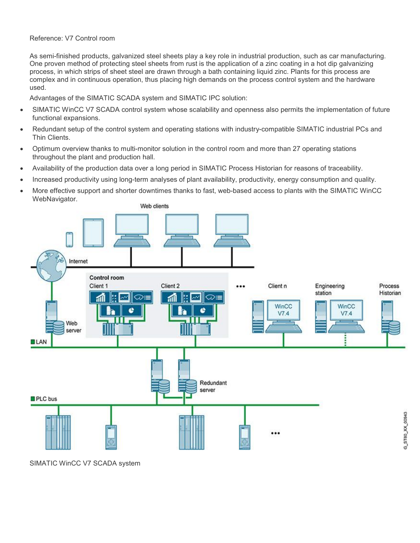#### Reference: V7 Control room

As semi-finished products, galvanized steel sheets play a key role in industrial production, such as car manufacturing. One proven method of protecting steel sheets from rust is the application of a zinc coating in a hot dip galvanizing process, in which strips of sheet steel are drawn through a bath containing liquid zinc. Plants for this process are complex and in continuous operation, thus placing high demands on the process control system and the hardware used.

Advantages of the SIMATIC SCADA system and SIMATIC IPC solution:

- SIMATIC WinCC V7 SCADA control system whose scalability and openness also permits the implementation of future functional expansions.
- Redundant setup of the control system and operating stations with industry-compatible SIMATIC industrial PCs and Thin Clients.
- Optimum overview thanks to multi-monitor solution in the control room and more than 27 operating stations throughout the plant and production hall.
- Availability of the production data over a long period in SIMATIC Process Historian for reasons of traceability.
- Increased productivity using long-term analyses of plant availability, productivity, energy consumption and quality.
- More effective support and shorter downtimes thanks to fast, web-based access to plants with the SIMATIC WinCC WebNavigator.



SIMATIC WinCC V7 SCADA system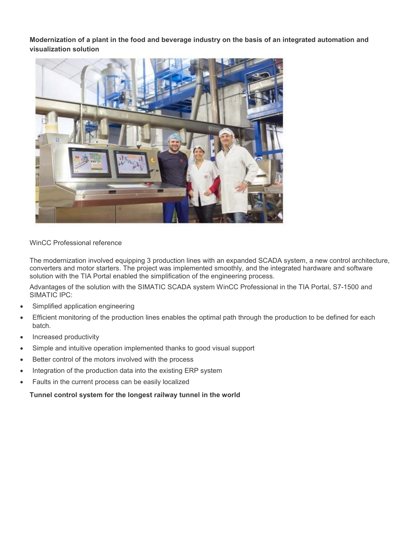**Modernization of a plant in the food and beverage industry on the basis of an integrated automation and visualization solution**



WinCC Professional reference

The modernization involved equipping 3 production lines with an expanded SCADA system, a new control architecture, converters and motor starters. The project was implemented smoothly, and the integrated hardware and software solution with the TIA Portal enabled the simplification of the engineering process.

Advantages of the solution with the SIMATIC SCADA system WinCC Professional in the TIA Portal, S7-1500 and SIMATIC IPC:

- Simplified application engineering
- Efficient monitoring of the production lines enables the optimal path through the production to be defined for each batch.
- Increased productivity
- Simple and intuitive operation implemented thanks to good visual support
- **•** Better control of the motors involved with the process
- Integration of the production data into the existing ERP system
- Faults in the current process can be easily localized

**Tunnel control system for the longest railway tunnel in the world**